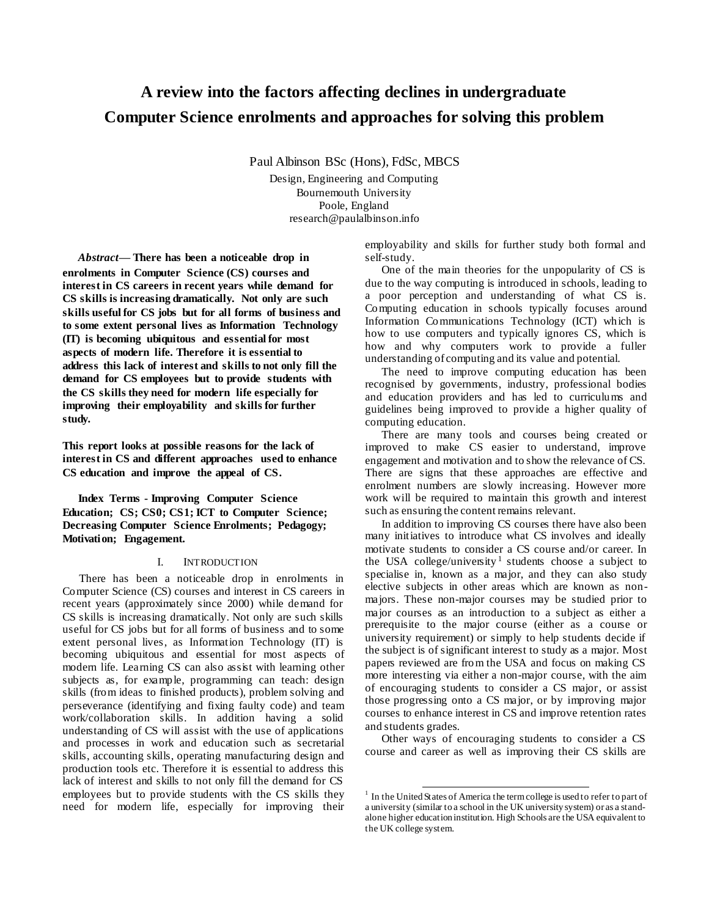# **A review into the factors affecting declines in undergraduate Computer Science enrolments and approaches for solving this problem**

Paul Albinson BSc (Hons), FdSc, MBCS

Design, Engineering and Computing Bournemouth University Poole, England research@paulalbinson.info

*Abstract***— There has been a noticeable drop in enrolments in Computer Science (CS) courses and interest in CS careers in recent years while demand for CS skills is increasing dramatically. Not only are such skills useful for CS jobs but for all forms of business and to some extent personal lives as Information Technology (IT) is becoming ubiquitous and essential for most aspects of modern life. Therefore it is essential to address this lack of interest and skills to not only fill the demand for CS employees but to provide students with the CS skills they need for modern life especially for improving their employability and skills for further study.**

**This report looks at possible reasons for the lack of interest in CS and different approaches used to enhance CS education and improve the appeal of CS.**

**Index Terms - Improving Computer Science Education; CS; CS0; CS1; ICT to Computer Science; Decreasing Computer Science Enrolments; Pedagogy; Motivation; Engagement.**

## I. INTRODUCTION

There has been a noticeable drop in enrolments in Computer Science (CS) courses and interest in CS careers in recent years (approximately since 2000) while demand for CS skills is increasing dramatically. Not only are such skills useful for CS jobs but for all forms of business and to some extent personal lives, as Information Technology (IT) is becoming ubiquitous and essential for most aspects of modern life. Learning CS can also assist with learning other subjects as, for example, programming can teach: design skills (from ideas to finished products), problem solving and perseverance (identifying and fixing faulty code) and team work/collaboration skills. In addition having a solid understanding of CS will assist with the use of applications and processes in work and education such as secretarial skills, accounting skills, operating manufacturing design and production tools etc. Therefore it is essential to address this lack of interest and skills to not only fill the demand for CS employees but to provide students with the CS skills they need for modern life, especially for improving their

employability and skills for further study both formal and self-study.

One of the main theories for the unpopularity of CS is due to the way computing is introduced in schools, leading to a poor perception and understanding of what CS is. Computing education in schools typically focuses around Information Communications Technology (ICT) which is how to use computers and typically ignores CS, which is how and why computers work to provide a fuller understanding of computing and its value and potential.

The need to improve computing education has been recognised by governments, industry, professional bodies and education providers and has led to curriculums and guidelines being improved to provide a higher quality of computing education.

There are many tools and courses being created or improved to make CS easier to understand, improve engagement and motivation and to show the relevance of CS. There are signs that these approaches are effective and enrolment numbers are slowly increasing. However more work will be required to maintain this growth and interest such as ensuring the content remains relevant.

In addition to improving CS courses there have also been many initiatives to introduce what CS involves and ideally motivate students to consider a CS course and/or career. In the USA college/university<sup>1</sup> students choose a subject to specialise in, known as a major, and they can also study elective subjects in other areas which are known as nonmajors. These non-major courses may be studied prior to major courses as an introduction to a subject as either a prerequisite to the major course (either as a course or university requirement) or simply to help students decide if the subject is of significant interest to study as a major. Most papers reviewed are from the USA and focus on making CS more interesting via either a non-major course, with the aim of encouraging students to consider a CS major, or assist those progressing onto a CS major, or by improving major courses to enhance interest in CS and improve retention rates and students grades.

Other ways of encouraging students to consider a CS course and career as well as improving their CS skills are

 1 In the United States of America the term college is used to refer to part of a university (similar to a school in the UK university system) or as a standalone higher education institution. High Schools are the USA equivalent to the UK college system.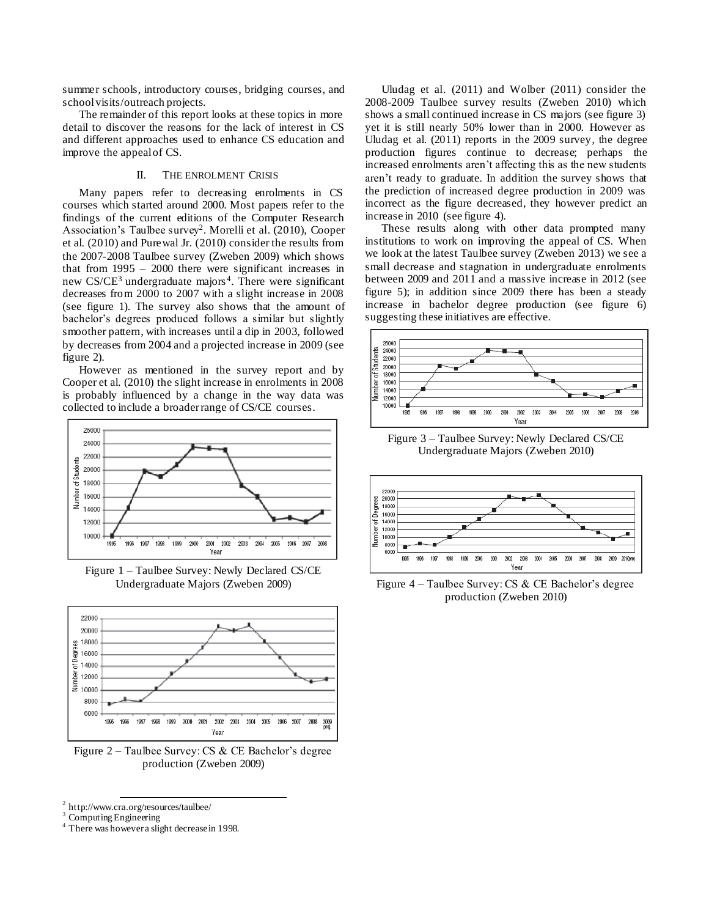summer schools, introductory courses, bridging courses, and school visits/outreach projects.

The remainder of this report looks at these topics in more detail to discover the reasons for the lack of interest in CS and different approaches used to enhance CS education and improve the appeal of CS.

# II. THE ENROLMENT CRISIS

Many papers refer to decreasing enrolments in CS courses which started around 2000. Most papers refer to the findings of the current editions of the Computer Research Association's Taulbee survey<sup>2</sup>. Morelli et al. (2010), Cooper et al. (2010) and Purewal Jr. (2010) consider the results from the 2007-2008 Taulbee survey (Zweben 2009) which shows that from 1995 – 2000 there were significant increases in new CS/CE<sup>3</sup> undergraduate majors<sup>4</sup>. There were significant decreases from 2000 to 2007 with a slight increase in 2008 (see figure 1). The survey also shows that the amount of bachelor's degrees produced follows a similar but slightly smoother pattern, with increases until a dip in 2003, followed by decreases from 2004 and a projected increase in 2009 (see figure 2).

However as mentioned in the survey report and by Cooper et al. (2010) the slight increase in enrolments in 2008 is probably influenced by a change in the way data was collected to include a broader range of CS/CE courses.



Figure 1 – Taulbee Survey: Newly Declared CS/CE Undergraduate Majors (Zweben 2009)



Figure 2 – Taulbee Survey: CS & CE Bachelor's degree production (Zweben 2009)

l <sup>2</sup> http://www.cra.org/resources/taulbee/

Uludag et al. (2011) and Wolber (2011) consider the 2008-2009 Taulbee survey results (Zweben 2010) which shows a small continued increase in CS majors (see figure 3) yet it is still nearly 50% lower than in 2000. However as Uludag et al. (2011) reports in the 2009 survey, the degree production figures continue to decrease; perhaps the increased enrolments aren't affecting this as the new students aren't ready to graduate. In addition the survey shows that the prediction of increased degree production in 2009 was incorrect as the figure decreased, they however predict an increase in 2010 (see figure 4).

These results along with other data prompted many institutions to work on improving the appeal of CS. When we look at the latest Taulbee survey (Zweben 2013) we see a small decrease and stagnation in undergraduate enrolments between 2009 and 2011 and a massive increase in 2012 (see figure 5); in addition since 2009 there has been a steady increase in bachelor degree production (see figure 6) suggesting these initiatives are effective.



Figure 3 – Taulbee Survey: Newly Declared CS/CE Undergraduate Majors (Zweben 2010)



Figure 4 – Taulbee Survey: CS & CE Bachelor's degree production (Zweben 2010)

<sup>&</sup>lt;sup>3</sup> Computing Engineering

<sup>&</sup>lt;sup>4</sup> There was however a slight decrease in 1998.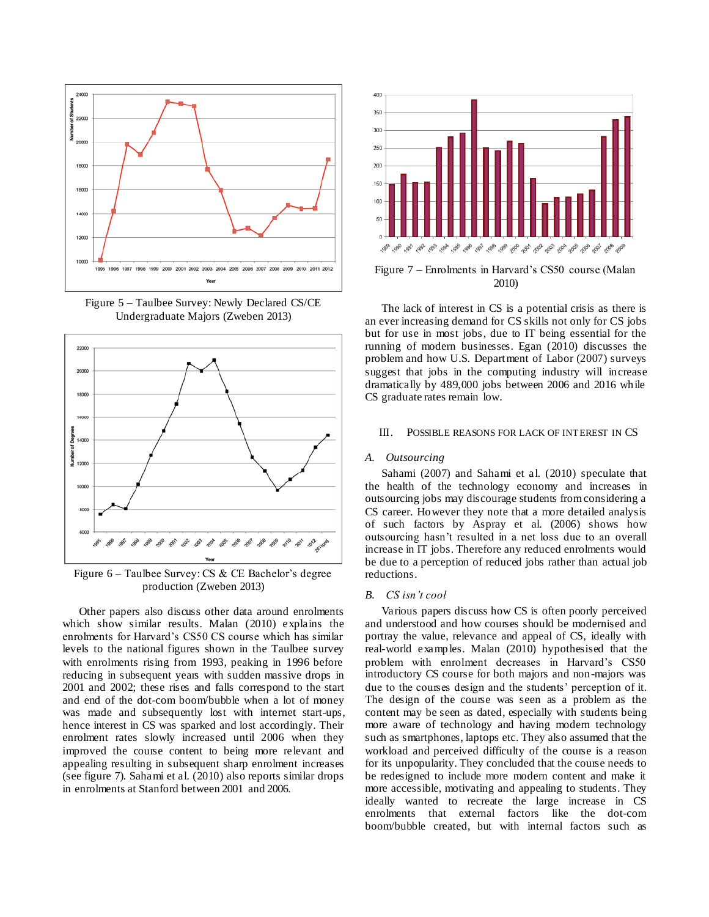

Figure 5 – Taulbee Survey: Newly Declared CS/CE Undergraduate Majors (Zweben 2013)



Figure 6 – Taulbee Survey: CS & CE Bachelor's degree production (Zweben 2013)

Other papers also discuss other data around enrolments which show similar results. Malan (2010) explains the enrolments for Harvard's CS50 CS course which has similar levels to the national figures shown in the Taulbee survey with enrolments rising from 1993, peaking in 1996 before reducing in subsequent years with sudden massive drops in 2001 and 2002; these rises and falls correspond to the start and end of the dot-com boom/bubble when a lot of money was made and subsequently lost with internet start-ups, hence interest in CS was sparked and lost accordingly. Their enrolment rates slowly increased until 2006 when they improved the course content to being more relevant and appealing resulting in subsequent sharp enrolment increases (see figure 7). Sahami et al. (2010) also reports similar drops in enrolments at Stanford between 2001 and 2006.



Figure 7 – Enrolments in Harvard's CS50 course (Malan 2010)

The lack of interest in CS is a potential crisis as there is an ever increasing demand for CS skills not only for CS jobs but for use in most jobs, due to IT being essential for the running of modern businesses. Egan (2010) discusses the problem and how U.S. Department of Labor (2007) surveys suggest that jobs in the computing industry will increase dramatically by 489,000 jobs between 2006 and 2016 while CS graduate rates remain low.

## III. POSSIBLE REASONS FOR LACK OF INTEREST IN CS

## *A. Outsourcing*

Sahami (2007) and Sahami et al. (2010) speculate that the health of the technology economy and increases in outsourcing jobs may discourage students from considering a CS career. However they note that a more detailed analysis of such factors by Aspray et al. (2006) shows how outsourcing hasn't resulted in a net loss due to an overall increase in IT jobs. Therefore any reduced enrolments would be due to a perception of reduced jobs rather than actual job reductions.

#### *B. CS isn't cool*

Various papers discuss how CS is often poorly perceived and understood and how courses should be modernised and portray the value, relevance and appeal of CS, ideally with real-world examples. Malan (2010) hypothesised that the problem with enrolment decreases in Harvard's CS50 introductory CS course for both majors and non-majors was due to the courses design and the students' perception of it. The design of the course was seen as a problem as the content may be seen as dated, especially with students being more aware of technology and having modern technology such as smartphones, laptops etc. They also assumed that the workload and perceived difficulty of the course is a reason for its unpopularity. They concluded that the course needs to be redesigned to include more modern content and make it more accessible, motivating and appealing to students. They ideally wanted to recreate the large increase in CS enrolments that external factors like the dot-com boom/bubble created, but with internal factors such as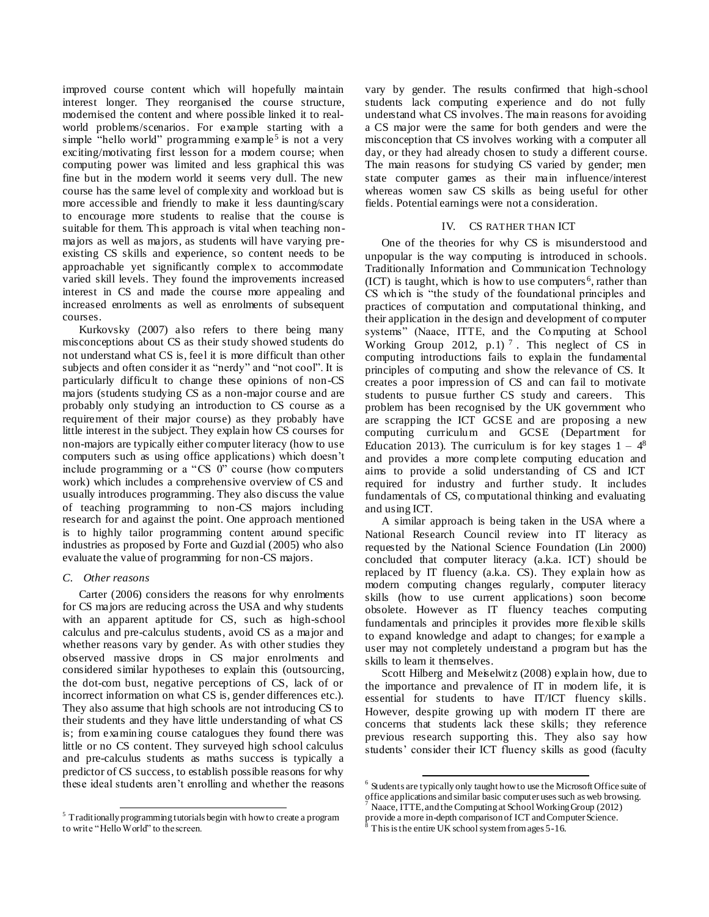improved course content which will hopefully maintain interest longer. They reorganised the course structure, modernised the content and where possible linked it to realworld problems/scenarios. For example starting with a simple "hello world" programming example<sup>5</sup> is not a very exciting/motivating first lesson for a modern course; when computing power was limited and less graphical this was fine but in the modern world it seems very dull. The new course has the same level of complexity and workload but is more accessible and friendly to make it less daunting/scary to encourage more students to realise that the course is suitable for them. This approach is vital when teaching nonmajors as well as majors, as students will have varying preexisting CS skills and experience, so content needs to be approachable yet significantly complex to accommodate varied skill levels. They found the improvements increased interest in CS and made the course more appealing and increased enrolments as well as enrolments of subsequent courses.

Kurkovsky (2007) also refers to there being many misconceptions about CS as their study showed students do not understand what CS is, feel it is more difficult than other subjects and often consider it as "nerdy" and "not cool". It is particularly difficult to change these opinions of non-CS majors (students studying CS as a non-major course and are probably only studying an introduction to CS course as a requirement of their major course) as they probably have little interest in the subject. They explain how CS courses for non-majors are typically either computer literacy (how to use computers such as using office applications) which doesn't include programming or a "CS 0" course (how computers work) which includes a comprehensive overview of CS and usually introduces programming. They also discuss the value of teaching programming to non-CS majors including research for and against the point. One approach mentioned is to highly tailor programming content around specific industries as proposed by Forte and Guzdial (2005) who also evaluate the value of programming for non-CS majors.

# *C. Other reasons*

Carter (2006) considers the reasons for why enrolments for CS majors are reducing across the USA and why students with an apparent aptitude for CS, such as high-school calculus and pre-calculus students, avoid CS as a major and whether reasons vary by gender. As with other studies they observed massive drops in CS major enrolments and considered similar hypotheses to explain this (outsourcing, the dot-com bust, negative perceptions of CS, lack of or incorrect information on what CS is, gender differences etc.). They also assume that high schools are not introducing CS to their students and they have little understanding of what CS is; from examining course catalogues they found there was little or no CS content. They surveyed high school calculus and pre-calculus students as maths success is typically a predictor of CS success, to establish possible reasons for why these ideal students aren't enrolling and whether the reasons

vary by gender. The results confirmed that high-school students lack computing experience and do not fully understand what CS involves. The main reasons for avoiding a CS major were the same for both genders and were the misconception that CS involves working with a computer all day, or they had already chosen to study a different course. The main reasons for studying CS varied by gender; men state computer games as their main influence/interest whereas women saw CS skills as being useful for other fields. Potential earnings were not a consideration.

# IV. CS RATHER THAN ICT

One of the theories for why CS is misunderstood and unpopular is the way computing is introduced in schools. Traditionally Information and Communication Technology  $(ICT)$  is taught, which is how to use computers<sup>6</sup>, rather than CS which is "the study of the foundational principles and practices of computation and computational thinking, and their application in the design and development of computer systems" (Naace, ITTE, and the Computing at School Working Group 2012, p.1)<sup>7</sup>. This neglect of CS in computing introductions fails to explain the fundamental principles of computing and show the relevance of CS. It creates a poor impression of CS and can fail to motivate students to pursue further CS study and careers. This problem has been recognised by the UK government who are scrapping the ICT GCSE and are proposing a new computing curriculum and GCSE (Department for Education 2013). The curriculum is for key stages  $1 - 4^8$ and provides a more complete computing education and aims to provide a solid understanding of CS and ICT required for industry and further study. It includes fundamentals of CS, computational thinking and evaluating and using ICT.

A similar approach is being taken in the USA where a National Research Council review into IT literacy as requested by the National Science Foundation (Lin 2000) concluded that computer literacy (a.k.a. ICT) should be replaced by IT fluency (a.k.a. CS). They explain how as modern computing changes regularly, computer literacy skills (how to use current applications) soon become obsolete. However as IT fluency teaches computing fundamentals and principles it provides more flexible skills to expand knowledge and adapt to changes; for example a user may not completely understand a program but has the skills to learn it themselves.

Scott Hilberg and Meiselwitz (2008) explain how, due to the importance and prevalence of IT in modern life, it is essential for students to have IT/ICT fluency skills. However, despite growing up with modern IT there are concerns that students lack these skills; they reference previous research supporting this. They also say how students' consider their ICT fluency skills as good (faculty

l

l  $5$  Traditionally programming tutorials begin with how to create a program to write "Hello World" to the screen.

<sup>&</sup>lt;sup>6</sup> Students are typically only taught how to use the Microsoft Office suite of office applications and similar basic computer uses such as web browsing.

Naace, ITTE, and the Computing at School Working Group (2012) provide a more in-depth comparison of ICT and Computer Science.

This is the entire UK school system from ages 5-16.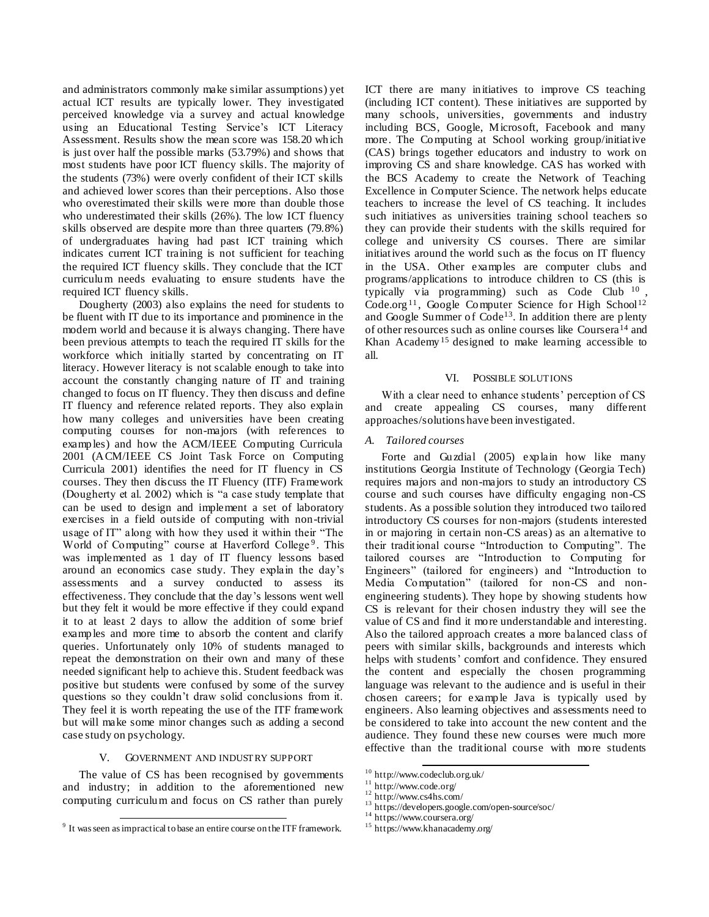and administrators commonly make similar assumptions) yet actual ICT results are typically lower. They investigated perceived knowledge via a survey and actual knowledge using an Educational Testing Service's ICT Literacy Assessment. Results show the mean score was 158.20 which is just over half the possible marks (53.79%) and shows that most students have poor ICT fluency skills. The majority of the students (73%) were overly confident of their ICT skills and achieved lower scores than their perceptions. Also those who overestimated their skills were more than double those who underestimated their skills (26%). The low ICT fluency skills observed are despite more than three quarters (79.8%) of undergraduates having had past ICT training which indicates current ICT training is not sufficient for teaching the required ICT fluency skills. They conclude that the ICT curriculum needs evaluating to ensure students have the required ICT fluency skills.

Dougherty (2003) also explains the need for students to be fluent with IT due to its importance and prominence in the modern world and because it is always changing. There have been previous attempts to teach the required IT skills for the workforce which initially started by concentrating on IT literacy. However literacy is not scalable enough to take into account the constantly changing nature of IT and training changed to focus on IT fluency. They then discuss and define IT fluency and reference related reports. They also explain how many colleges and universities have been creating computing courses for non-majors (with references to examples) and how the ACM/IEEE Computing Curricula 2001 (ACM/IEEE CS Joint Task Force on Computing Curricula 2001) identifies the need for IT fluency in CS courses. They then discuss the IT Fluency (ITF) Framework (Dougherty et al. 2002) which is "a case study template that can be used to design and implement a set of laboratory exercises in a field outside of computing with non-trivial usage of IT" along with how they used it within their "The World of Computing" course at Haverford College<sup>9</sup>. This was implemented as 1 day of IT fluency lessons based around an economics case study. They explain the day's assessments and a survey conducted to assess its effectiveness. They conclude that the day's lessons went well but they felt it would be more effective if they could expand it to at least 2 days to allow the addition of some brief examples and more time to absorb the content and clarify queries. Unfortunately only 10% of students managed to repeat the demonstration on their own and many of these needed significant help to achieve this. Student feedback was positive but students were confused by some of the survey questions so they couldn't draw solid conclusions from it. They feel it is worth repeating the use of the ITF framework but will make some minor changes such as adding a second case study on psychology.

## V. GOVERNMENT AND INDUSTRY SUPPORT

The value of CS has been recognised by governments and industry; in addition to the aforementioned new computing curriculum and focus on CS rather than purely

l

ICT there are many initiatives to improve CS teaching (including ICT content). These initiatives are supported by many schools, universities, governments and industry including BCS, Google, Microsoft, Facebook and many more. The Computing at School working group/initiative (CAS) brings together educators and industry to work on improving CS and share knowledge. CAS has worked with the BCS Academy to create the Network of Teaching Excellence in Computer Science. The network helps educate teachers to increase the level of CS teaching. It includes such initiatives as universities training school teachers so they can provide their students with the skills required for college and university CS courses. There are similar initiatives around the world such as the focus on IT fluency in the USA. Other examples are computer clubs and programs/applications to introduce children to CS (this is typically via programming) such as Code Club  $10$ , Code.org<sup>11</sup>, Google Computer Science for High School<sup>12</sup> and Google Summer of Code<sup>13</sup>. In addition there are plenty of other resources such as online courses like Coursera<sup>14</sup> and Khan Academy<sup>15</sup> designed to make learning accessible to all.

#### VI. POSSIBLE SOLUTIONS

With a clear need to enhance students' perception of CS and create appealing CS courses, many different approaches/solutions have been investigated.

## *A. Tailored courses*

Forte and Guzdial (2005) explain how like many institutions Georgia Institute of Technology (Georgia Tech) requires majors and non-majors to study an introductory CS course and such courses have difficulty engaging non-CS students. As a possible solution they introduced two tailored introductory CS courses for non-majors (students interested in or majoring in certain non-CS areas) as an alternative to their traditional course "Introduction to Computing". The tailored courses are "Introduction to Computing for Engineers" (tailored for engineers) and "Introduction to Media Computation" (tailored for non-CS and nonengineering students). They hope by showing students how CS is relevant for their chosen industry they will see the value of CS and find it more understandable and interesting. Also the tailored approach creates a more balanced class of peers with similar skills, backgrounds and interests which helps with students' comfort and confidence. They ensured the content and especially the chosen programming language was relevant to the audience and is useful in their chosen careers; for example Java is typically used by engineers. Also learning objectives and assessments need to be considered to take into account the new content and the audience. They found these new courses were much more effective than the traditional course with more students

<sup>13</sup> https://developers.google.com/open-source/soc/

 $9<sup>9</sup>$  It was seen as impractical to base an entire course on the ITF framework.

l  $10$  http://www.codeclub.org.uk/

 $11$  http://www.code.org/

<sup>12</sup> http://www.cs4hs.com/

<sup>&</sup>lt;sup>14</sup> https://www.coursera.org/

<sup>15</sup> https://www.khanacademy.org/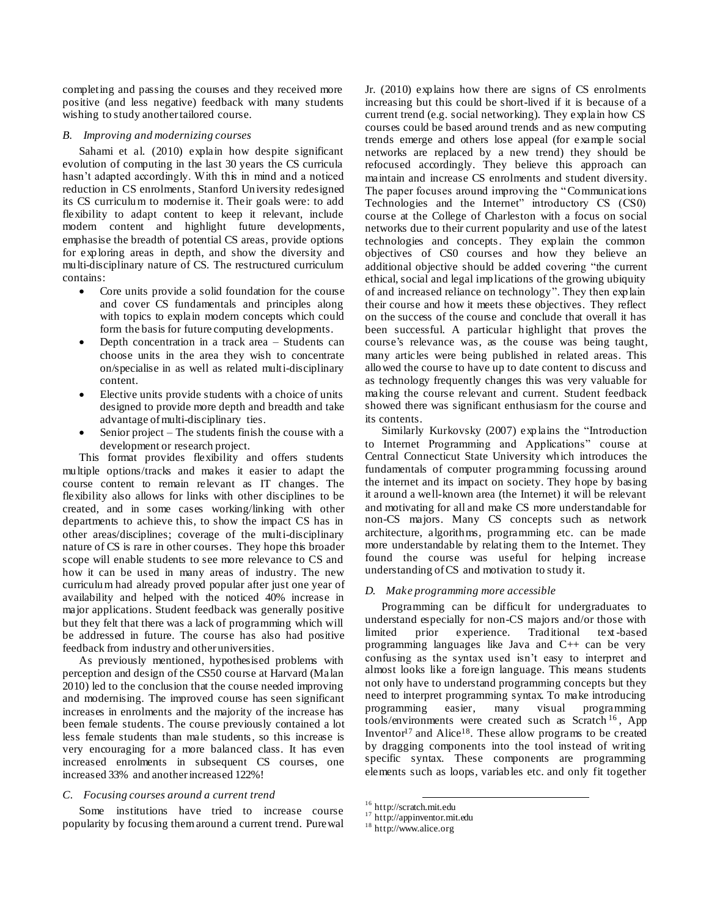completing and passing the courses and they received more positive (and less negative) feedback with many students wishing to study another tailored course.

### *B. Improving and modernizing courses*

Sahami et al. (2010) explain how despite significant evolution of computing in the last 30 years the CS curricula hasn't adapted accordingly. With this in mind and a noticed reduction in CS enrolments, Stanford University redesigned its CS curriculum to modernise it. Their goals were: to add flexibility to adapt content to keep it relevant, include modern content and highlight future developments, emphasise the breadth of potential CS areas, provide options for exploring areas in depth, and show the diversity and multi-disciplinary nature of CS. The restructured curriculum contains:

- Core units provide a solid foundation for the course and cover CS fundamentals and principles along with topics to explain modern concepts which could form the basis for future computing developments.
- Depth concentration in a track area Students can choose units in the area they wish to concentrate on/specialise in as well as related multi-disciplinary content.
- Elective units provide students with a choice of units designed to provide more depth and breadth and take advantage of multi-disciplinary ties.
- Senior project The students finish the course with a development or research project.

This format provides flexibility and offers students multiple options/tracks and makes it easier to adapt the course content to remain relevant as IT changes. The flexibility also allows for links with other disciplines to be created, and in some cases working/linking with other departments to achieve this, to show the impact CS has in other areas/disciplines; coverage of the multi-disciplinary nature of CS is rare in other courses. They hope this broader scope will enable students to see more relevance to CS and how it can be used in many areas of industry. The new curriculum had already proved popular after just one year of availability and helped with the noticed 40% increase in major applications. Student feedback was generally positive but they felt that there was a lack of programming which will be addressed in future. The course has also had positive feedback from industry and other universities.

As previously mentioned, hypothesised problems with perception and design of the CS50 course at Harvard (Malan 2010) led to the conclusion that the course needed improving and modernising. The improved course has seen significant increases in enrolments and the majority of the increase has been female students. The course previously contained a lot less female students than male students, so this increase is very encouraging for a more balanced class. It has even increased enrolments in subsequent CS courses, one increased 33% and another increased 122%!

### *C. Focusing courses around a current trend*

Some institutions have tried to increase course popularity by focusing them around a current trend. Purewal Jr. (2010) explains how there are signs of CS enrolments increasing but this could be short-lived if it is because of a current trend (e.g. social networking). They explain how CS courses could be based around trends and as new computing trends emerge and others lose appeal (for example social networks are replaced by a new trend) they should be refocused accordingly. They believe this approach can maintain and increase CS enrolments and student diversity. The paper focuses around improving the "Communications Technologies and the Internet" introductory CS (CS0) course at the College of Charleston with a focus on social networks due to their current popularity and use of the latest technologies and concepts. They explain the common objectives of CS0 courses and how they believe an additional objective should be added covering "the current ethical, social and legal implications of the growing ubiquity of and increased reliance on technology". They then explain their course and how it meets these objectives. They reflect on the success of the course and conclude that overall it has been successful. A particular highlight that proves the course's relevance was, as the course was being taught, many articles were being published in related areas. This allowed the course to have up to date content to discuss and as technology frequently changes this was very valuable for making the course relevant and current. Student feedback showed there was significant enthusiasm for the course and its contents.

Similarly Kurkovsky (2007) explains the "Introduction to Internet Programming and Applications" course at Central Connecticut State University which introduces the fundamentals of computer programming focussing around the internet and its impact on society. They hope by basing it around a well-known area (the Internet) it will be relevant and motivating for all and make CS more understandable for non-CS majors. Many CS concepts such as network architecture, algorithms, programming etc. can be made more understandable by relating them to the Internet. They found the course was useful for helping increase understanding of CS and motivation to study it.

#### *D. Make programming more accessible*

Programming can be difficult for undergraduates to understand especially for non-CS majors and/or those with limited prior experience. Traditional text-based programming languages like Java and C++ can be very confusing as the syntax used isn't easy to interpret and almost looks like a foreign language. This means students not only have to understand programming concepts but they need to interpret programming syntax. To make introducing programming easier, many visual programming tools/environments were created such as Scratch <sup>16</sup> , App Inventor<sup>17</sup> and Alice<sup>18</sup>. These allow programs to be created by dragging components into the tool instead of writing specific syntax. These components are programming elements such as loops, variables etc. and only fit together

l

<sup>&</sup>lt;sup>16</sup> http://scratch.mit.edu

<sup>&</sup>lt;sup>17</sup> http://appinventor.mit.edu

<sup>18</sup> http://www.alice.org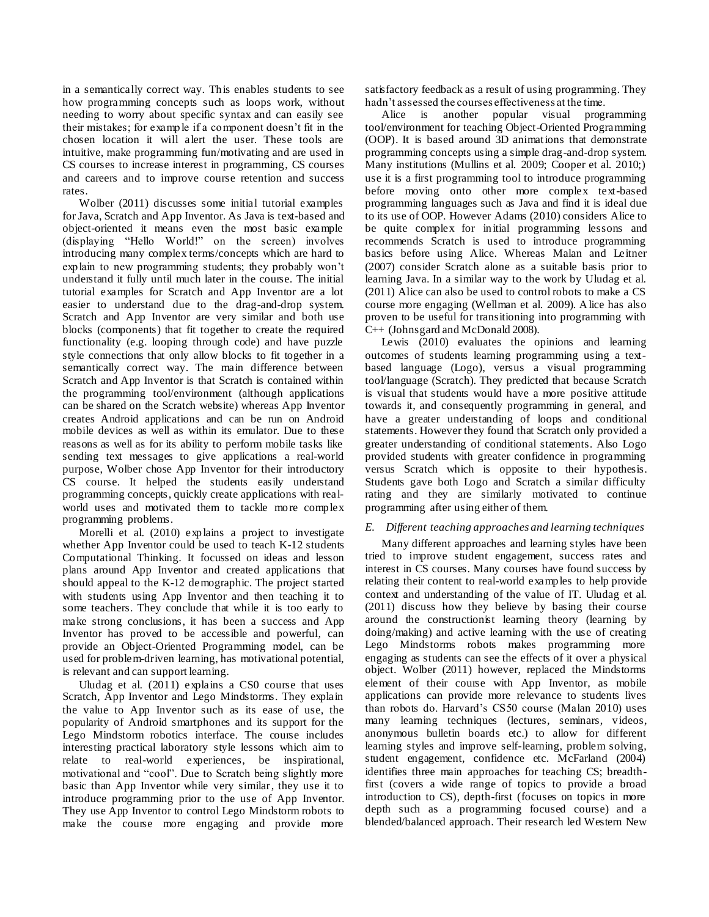in a semantically correct way. This enables students to see how programming concepts such as loops work, without needing to worry about specific syntax and can easily see their mistakes; for example if a component doesn't fit in the chosen location it will alert the user. These tools are intuitive, make programming fun/motivating and are used in CS courses to increase interest in programming, CS courses and careers and to improve course retention and success rates.

Wolber (2011) discusses some initial tutorial examples for Java, Scratch and App Inventor. As Java is text-based and object-oriented it means even the most basic example (displaying "Hello World!" on the screen) involves introducing many complex terms/concepts which are hard to explain to new programming students; they probably won't understand it fully until much later in the course. The initial tutorial examples for Scratch and App Inventor are a lot easier to understand due to the drag-and-drop system. Scratch and App Inventor are very similar and both use blocks (components) that fit together to create the required functionality (e.g. looping through code) and have puzzle style connections that only allow blocks to fit together in a semantically correct way. The main difference between Scratch and App Inventor is that Scratch is contained within the programming tool/environment (although applications can be shared on the Scratch website) whereas App Inventor creates Android applications and can be run on Android mobile devices as well as within its emulator. Due to these reasons as well as for its ability to perform mobile tasks like sending text messages to give applications a real-world purpose, Wolber chose App Inventor for their introductory CS course. It helped the students easily understand programming concepts, quickly create applications with realworld uses and motivated them to tackle more complex programming problems.

Morelli et al. (2010) explains a project to investigate whether App Inventor could be used to teach K-12 students Computational Thinking. It focussed on ideas and lesson plans around App Inventor and created applications that should appeal to the K-12 demographic. The project started with students using App Inventor and then teaching it to some teachers. They conclude that while it is too early to make strong conclusions, it has been a success and App Inventor has proved to be accessible and powerful, can provide an Object-Oriented Programming model, can be used for problem-driven learning, has motivational potential, is relevant and can support learning.

Uludag et al. (2011) explains a CS0 course that uses Scratch, App Inventor and Lego Mindstorms. They explain the value to App Inventor such as its ease of use, the popularity of Android smartphones and its support for the Lego Mindstorm robotics interface. The course includes interesting practical laboratory style lessons which aim to relate to real-world experiences, be inspirational, motivational and "cool". Due to Scratch being slightly more basic than App Inventor while very similar, they use it to introduce programming prior to the use of App Inventor. They use App Inventor to control Lego Mindstorm robots to make the course more engaging and provide more

satisfactory feedback as a result of using programming. They hadn't assessed the courses effectiveness at the time.

Alice is another popular visual programming tool/environment for teaching Object-Oriented Programming (OOP). It is based around 3D animations that demonstrate programming concepts using a simple drag-and-drop system. Many institutions (Mullins et al. 2009; Cooper et al. 2010;) use it is a first programming tool to introduce programming before moving onto other more complex text-based programming languages such as Java and find it is ideal due to its use of OOP. However Adams (2010) considers Alice to be quite complex for initial programming lessons and recommends Scratch is used to introduce programming basics before using Alice. Whereas Malan and Leitner (2007) consider Scratch alone as a suitable basis prior to learning Java. In a similar way to the work by Uludag et al. (2011) Alice can also be used to control robots to make a CS course more engaging (Wellman et al. 2009). Alice has also proven to be useful for transitioning into programming with C++ (Johnsgard and McDonald 2008).

Lewis (2010) evaluates the opinions and learning outcomes of students learning programming using a textbased language (Logo), versus a visual programming tool/language (Scratch). They predicted that because Scratch is visual that students would have a more positive attitude towards it, and consequently programming in general, and have a greater understanding of loops and conditional statements. However they found that Scratch only provided a greater understanding of conditional statements. Also Logo provided students with greater confidence in programming versus Scratch which is opposite to their hypothesis. Students gave both Logo and Scratch a similar difficulty rating and they are similarly motivated to continue programming after using either of them.

# *E. Different teaching approaches and learning techniques*

Many different approaches and learning styles have been tried to improve student engagement, success rates and interest in CS courses. Many courses have found success by relating their content to real-world examples to help provide context and understanding of the value of IT. Uludag et al. (2011) discuss how they believe by basing their course around the constructionist learning theory (learning by doing/making) and active learning with the use of creating Lego Mindstorms robots makes programming more engaging as students can see the effects of it over a physical object. Wolber (2011) however, replaced the Mindstorms element of their course with App Inventor, as mobile applications can provide more relevance to students lives than robots do. Harvard's CS50 course (Malan 2010) uses many learning techniques (lectures, seminars, videos, anonymous bulletin boards etc.) to allow for different learning styles and improve self-learning, problem solving, student engagement, confidence etc. McFarland (2004) identifies three main approaches for teaching CS; breadthfirst (covers a wide range of topics to provide a broad introduction to CS), depth-first (focuses on topics in more depth such as a programming focused course) and a blended/balanced approach. Their research led Western New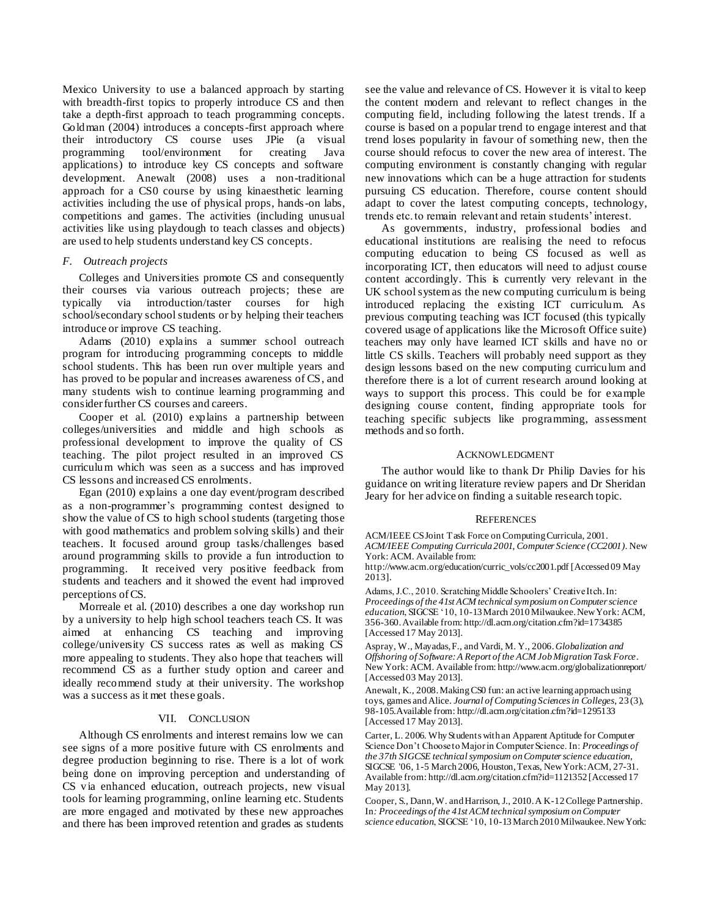Mexico University to use a balanced approach by starting with breadth-first topics to properly introduce CS and then take a depth-first approach to teach programming concepts. Goldman (2004) introduces a concepts-first approach where their introductory CS course uses JPie (a visual programming tool/environment for creating Java applications) to introduce key CS concepts and software development. Anewalt (2008) uses a non-traditional approach for a CS0 course by using kinaesthetic learning activities including the use of physical props, hands-on labs, competitions and games. The activities (including unusual activities like using playdough to teach classes and objects) are used to help students understand key CS concepts.

## *F. Outreach projects*

Colleges and Universities promote CS and consequently their courses via various outreach projects; these are typically via introduction/taster courses for high school/secondary school students or by helping their teachers introduce or improve CS teaching.

Adams (2010) explains a summer school outreach program for introducing programming concepts to middle school students. This has been run over multiple years and has proved to be popular and increases awareness of CS, and many students wish to continue learning programming and consider further CS courses and careers.

Cooper et al. (2010) explains a partnership between colleges/universities and middle and high schools as professional development to improve the quality of CS teaching. The pilot project resulted in an improved CS curriculum which was seen as a success and has improved CS lessons and increased CS enrolments.

Egan (2010) explains a one day event/program described as a non-programmer's programming contest designed to show the value of CS to high school students (targeting those with good mathematics and problem solving skills) and their teachers. It focused around group tasks/challenges based around programming skills to provide a fun introduction to programming. It received very positive feedback from students and teachers and it showed the event had improved perceptions of CS.

Morreale et al. (2010) describes a one day workshop run by a university to help high school teachers teach CS. It was aimed at enhancing CS teaching and improving college/university CS success rates as well as making CS more appealing to students. They also hope that teachers will recommend CS as a further study option and career and ideally recommend study at their university. The workshop was a success as it met these goals.

# VII. CONCLUSION

Although CS enrolments and interest remains low we can see signs of a more positive future with CS enrolments and degree production beginning to rise. There is a lot of work being done on improving perception and understanding of CS via enhanced education, outreach projects, new visual tools for learning programming, online learning etc. Students are more engaged and motivated by these new approaches and there has been improved retention and grades as students

see the value and relevance of CS. However it is vital to keep the content modern and relevant to reflect changes in the computing field, including following the latest trends. If a course is based on a popular trend to engage interest and that trend loses popularity in favour of something new, then the course should refocus to cover the new area of interest. The computing environment is constantly changing with regular new innovations which can be a huge attraction for students pursuing CS education. Therefore, course content should adapt to cover the latest computing concepts, technology, trends etc. to remain relevant and retain students' interest.

As governments, industry, professional bodies and educational institutions are realising the need to refocus computing education to being CS focused as well as incorporating ICT, then educators will need to adjust course content accordingly. This is currently very relevant in the UK school system as the new computing curriculum is being introduced replacing the existing ICT curriculum. As previous computing teaching was ICT focused (this typically covered usage of applications like the Microsoft Office suite) teachers may only have learned ICT skills and have no or little CS skills. Teachers will probably need support as they design lessons based on the new computing curriculum and therefore there is a lot of current research around looking at ways to support this process. This could be for example designing course content, finding appropriate tools for teaching specific subjects like programming, assessment methods and so forth.

#### ACKNOWLEDGMENT

The author would like to thank Dr Philip Davies for his guidance on writing literature review papers and Dr Sheridan Jeary for her advice on finding a suitable research topic.

#### **REFERENCES**

ACM/IEEE CS Joint Task Force on Computing Curricula, 2001. *ACM/IEEE Computing Curricula 2001, Computer Science (CC2001)*. New York: ACM. Available from:

http://www.acm.org/education/curric\_vols/cc2001.pdf [Accessed 09 May 2013].

Adams, J.C., 2010. Scratching Middle Schoolers' Creative Itch. In: *Proceedings of the 41st ACM technical symposium on Computer science education*, SIGCSE '10, 10-13 March 2010 Milwaukee. New York: ACM, 356-360. Available from: http://dl.acm.org/citation.cfm?id=1734385 [Accessed 17 May 2013].

Aspray, W., Mayadas, F., and Vardi, M. Y., 2006. *Globalization and Offshoring of Software: A Report of the ACM Job Migration Task Force*. New York: ACM. Available from: http://www.acm.org/globalizationreport/ [Accessed 03 May 2013].

Anewalt, K., 2008. Making CS0 fun: an active learning approach using toys, games and Alice. *Journal of Computing Sciences in Colleges*, 23 (3), 98-105.Available from: http://dl.acm.org/citation.cfm?id=1295133 [Accessed 17 May 2013].

Carter, L. 2006. Why Students with an Apparent Aptitude for Computer Science Don't Choose to Major in Computer Science. In: *Proceedings of the 37th SIGCSE technical symposium on Computer science education*, SIGCSE '06, 1-5 March 2006, Houston, Texas, New York: ACM, 27-31. Available from: http://dl.acm.org/citation.cfm?id=1121352 [Accessed 17 May 2013].

Cooper, S., Dann, W. and Harrison, J., 2010. A K-12 College Partnership. In*: Proceedings of the 41st ACM technical symposium on Computer science education*, SIGCSE '10, 10-13 March 2010 Milwaukee. New York: